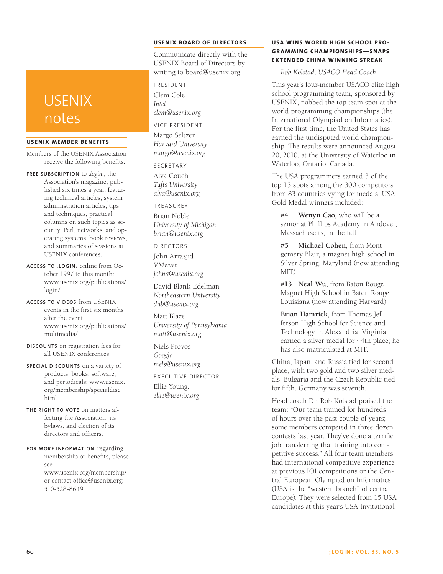## **USENIX BOARD OF DIRECTORS**

Communicate directly with the USENIX Board of Directors by writing to board@usenix.org.

PRESIDENT Clem Cole *Intel clem@usenix.org*

VICE PRESIDENT Margo Seltzer *Harvard University margo@usenix.org*

SECRETARY Alva Couch *Tufts University alva@usenix.org*

TREASURER

Brian Noble *University of Michigan brian@usenix.org*

DIRECTORS John Arrasjid *VMware johna@usenix.org*

David Blank-Edelman *Northeastern University dnb@usenix.org*

Matt Blaze *University of Pennsylvania matt@usenix.org*

Niels Provos *Google niels@usenix.org*

EXECUTIVE DIRECTOR

Ellie Young, *ellie@usenix.org*

## **USA WINS WORLD HIGH SCHOOL PRO-GRAMMING CHAMPIONSHIPS-SNAPS EXTENDED CHINA WINNING STREAK**

*Rob Kolstad, USACO Head Coach*

This year's four-member USACO elite high school programming team, sponsored by USENIX, nabbed the top team spot at the world programming championships (the International Olympiad on Informatics). For the first time, the United States has earned the undisputed world championship. The results were announced August 20, 2010, at the University of Waterloo in Waterloo, Ontario, Canada.

The USA programmers earned 3 of the top 13 spots among the 300 competitors from 83 countries vying for medals. USA Gold Medal winners included:

**#4 Wenyu Cao**, who will be a senior at Phillips Academy in Andover, Massachusetts, in the fall

**#5 Michael Cohen**, from Montgomery Blair, a magnet high school in Silver Spring, Maryland (now attending MIT)

**#13 Neal Wu**, from Baton Rouge Magnet High School in Baton Rouge, Louisiana (now attending Harvard)

**Brian Hamrick**, from Thomas Jefferson High School for Science and Technology in Alexandria, Virginia, earned a silver medal for 44th place; he has also matriculated at MIT.

China, Japan, and Russia tied for second place, with two gold and two silver medals. Bulgaria and the Czech Republic tied for fifth. Germany was seventh.

Head coach Dr. Rob Kolstad praised the team: "Our team trained for hundreds of hours over the past couple of years; some members competed in three dozen contests last year. They've done a terrific job transferring that training into competitive success." All four team members had international competitive experience at previous IOI competitions or the Central European Olympiad on Informatics (USA is the "western branch" of central Europe). They were selected from 15 USA candidates at this year's USA Invitational

## **USENIX** notes

## **USENIX MEMBER BENEFITS**

Members of the USENIX Association receive the following benefits:

**FREE SUBSCRIPTION** to *;login:*, the Association's magazine, published six times a year, featuring technical articles, system administration articles, tips and techniques, practical columns on such topics as security, Perl, networks, and operating systems, book reviews, and summaries of sessions at USENIX conferences.

**ACCESS TO ;LOGIN:** online from October 1997 to this month: www.usenix.org/publications/ login/

**ACCESS TO VIDEOS** from USENIX events in the first six months after the event: www.usenix.org/publications/ multimedia/

**DISCOUNTS** on registration fees for all USENIX conferences.

**SPECIAL DISCOUNTS** on a variety of products, books, software, and periodicals: www.usenix. org/membership/specialdisc. html

**THE RIGHT TO VOTE** on matters affecting the Association, its bylaws, and election of its directors and officers.

**FOR MORE INFORMATION** regarding membership or benefits, please see www.usenix.org/membership/ or contact office@usenix.org;

510-528-8649.